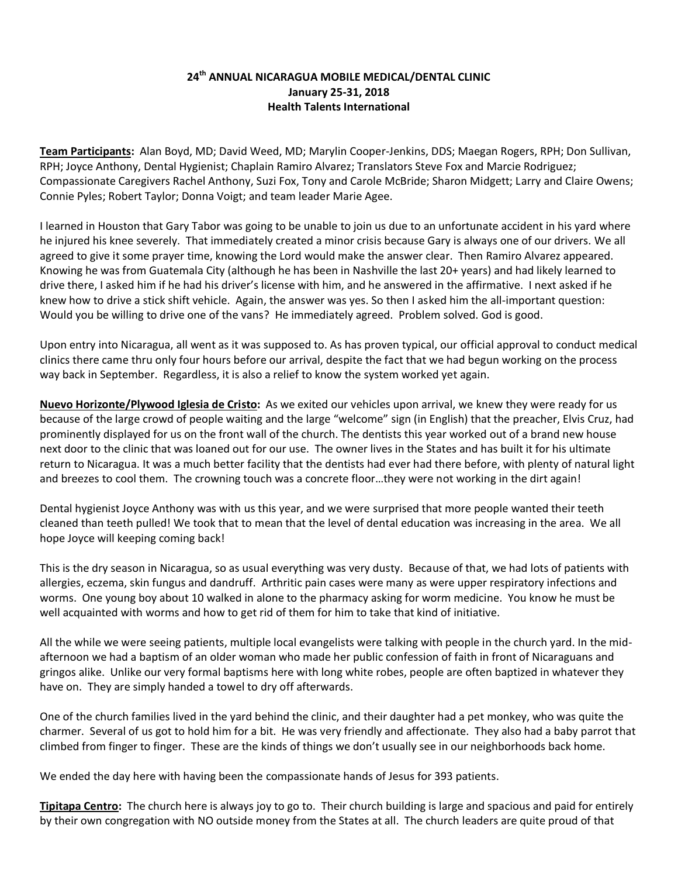## **24th ANNUAL NICARAGUA MOBILE MEDICAL/DENTAL CLINIC January 25-31, 2018 Health Talents International**

**Team Participants:** Alan Boyd, MD; David Weed, MD; Marylin Cooper-Jenkins, DDS; Maegan Rogers, RPH; Don Sullivan, RPH; Joyce Anthony, Dental Hygienist; Chaplain Ramiro Alvarez; Translators Steve Fox and Marcie Rodriguez; Compassionate Caregivers Rachel Anthony, Suzi Fox, Tony and Carole McBride; Sharon Midgett; Larry and Claire Owens; Connie Pyles; Robert Taylor; Donna Voigt; and team leader Marie Agee.

I learned in Houston that Gary Tabor was going to be unable to join us due to an unfortunate accident in his yard where he injured his knee severely. That immediately created a minor crisis because Gary is always one of our drivers. We all agreed to give it some prayer time, knowing the Lord would make the answer clear. Then Ramiro Alvarez appeared. Knowing he was from Guatemala City (although he has been in Nashville the last 20+ years) and had likely learned to drive there, I asked him if he had his driver's license with him, and he answered in the affirmative. I next asked if he knew how to drive a stick shift vehicle. Again, the answer was yes. So then I asked him the all-important question: Would you be willing to drive one of the vans? He immediately agreed. Problem solved. God is good.

Upon entry into Nicaragua, all went as it was supposed to. As has proven typical, our official approval to conduct medical clinics there came thru only four hours before our arrival, despite the fact that we had begun working on the process way back in September. Regardless, it is also a relief to know the system worked yet again.

**Nuevo Horizonte/Plywood Iglesia de Cristo:** As we exited our vehicles upon arrival, we knew they were ready for us because of the large crowd of people waiting and the large "welcome" sign (in English) that the preacher, Elvis Cruz, had prominently displayed for us on the front wall of the church. The dentists this year worked out of a brand new house next door to the clinic that was loaned out for our use. The owner lives in the States and has built it for his ultimate return to Nicaragua. It was a much better facility that the dentists had ever had there before, with plenty of natural light and breezes to cool them. The crowning touch was a concrete floor…they were not working in the dirt again!

Dental hygienist Joyce Anthony was with us this year, and we were surprised that more people wanted their teeth cleaned than teeth pulled! We took that to mean that the level of dental education was increasing in the area. We all hope Joyce will keeping coming back!

This is the dry season in Nicaragua, so as usual everything was very dusty. Because of that, we had lots of patients with allergies, eczema, skin fungus and dandruff. Arthritic pain cases were many as were upper respiratory infections and worms. One young boy about 10 walked in alone to the pharmacy asking for worm medicine. You know he must be well acquainted with worms and how to get rid of them for him to take that kind of initiative.

All the while we were seeing patients, multiple local evangelists were talking with people in the church yard. In the midafternoon we had a baptism of an older woman who made her public confession of faith in front of Nicaraguans and gringos alike. Unlike our very formal baptisms here with long white robes, people are often baptized in whatever they have on. They are simply handed a towel to dry off afterwards.

One of the church families lived in the yard behind the clinic, and their daughter had a pet monkey, who was quite the charmer. Several of us got to hold him for a bit. He was very friendly and affectionate. They also had a baby parrot that climbed from finger to finger. These are the kinds of things we don't usually see in our neighborhoods back home.

We ended the day here with having been the compassionate hands of Jesus for 393 patients.

**Tipitapa Centro:** The church here is always joy to go to. Their church building is large and spacious and paid for entirely by their own congregation with NO outside money from the States at all. The church leaders are quite proud of that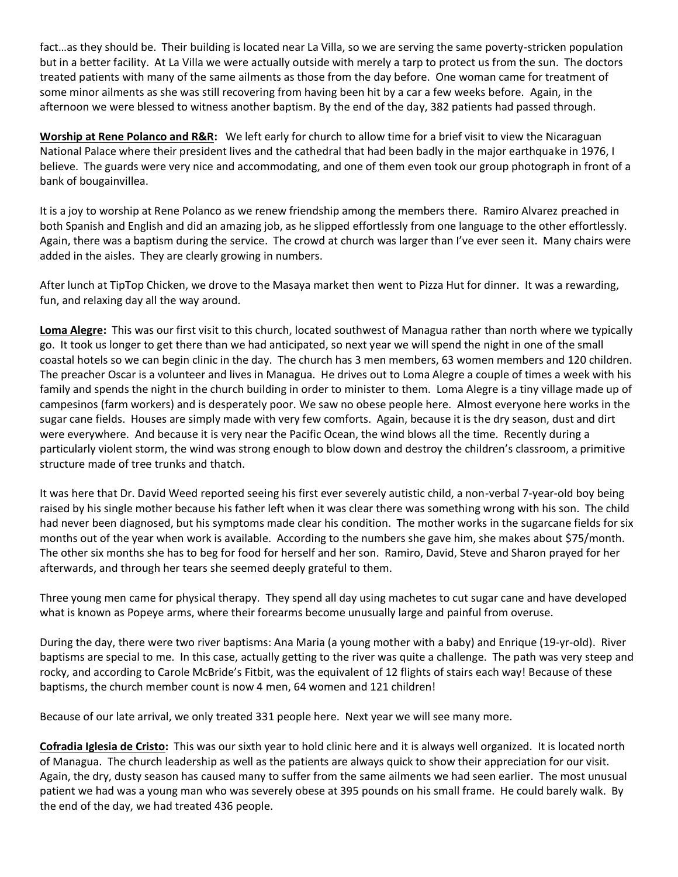fact…as they should be. Their building is located near La Villa, so we are serving the same poverty-stricken population but in a better facility. At La Villa we were actually outside with merely a tarp to protect us from the sun. The doctors treated patients with many of the same ailments as those from the day before. One woman came for treatment of some minor ailments as she was still recovering from having been hit by a car a few weeks before. Again, in the afternoon we were blessed to witness another baptism. By the end of the day, 382 patients had passed through.

**Worship at Rene Polanco and R&R:** We left early for church to allow time for a brief visit to view the Nicaraguan National Palace where their president lives and the cathedral that had been badly in the major earthquake in 1976, I believe. The guards were very nice and accommodating, and one of them even took our group photograph in front of a bank of bougainvillea.

It is a joy to worship at Rene Polanco as we renew friendship among the members there. Ramiro Alvarez preached in both Spanish and English and did an amazing job, as he slipped effortlessly from one language to the other effortlessly. Again, there was a baptism during the service. The crowd at church was larger than I've ever seen it. Many chairs were added in the aisles. They are clearly growing in numbers.

After lunch at TipTop Chicken, we drove to the Masaya market then went to Pizza Hut for dinner. It was a rewarding, fun, and relaxing day all the way around.

**Loma Alegre:** This was our first visit to this church, located southwest of Managua rather than north where we typically go. It took us longer to get there than we had anticipated, so next year we will spend the night in one of the small coastal hotels so we can begin clinic in the day. The church has 3 men members, 63 women members and 120 children. The preacher Oscar is a volunteer and lives in Managua. He drives out to Loma Alegre a couple of times a week with his family and spends the night in the church building in order to minister to them. Loma Alegre is a tiny village made up of campesinos (farm workers) and is desperately poor. We saw no obese people here. Almost everyone here works in the sugar cane fields. Houses are simply made with very few comforts. Again, because it is the dry season, dust and dirt were everywhere. And because it is very near the Pacific Ocean, the wind blows all the time. Recently during a particularly violent storm, the wind was strong enough to blow down and destroy the children's classroom, a primitive structure made of tree trunks and thatch.

It was here that Dr. David Weed reported seeing his first ever severely autistic child, a non-verbal 7-year-old boy being raised by his single mother because his father left when it was clear there was something wrong with his son. The child had never been diagnosed, but his symptoms made clear his condition. The mother works in the sugarcane fields for six months out of the year when work is available. According to the numbers she gave him, she makes about \$75/month. The other six months she has to beg for food for herself and her son. Ramiro, David, Steve and Sharon prayed for her afterwards, and through her tears she seemed deeply grateful to them.

Three young men came for physical therapy. They spend all day using machetes to cut sugar cane and have developed what is known as Popeye arms, where their forearms become unusually large and painful from overuse.

During the day, there were two river baptisms: Ana Maria (a young mother with a baby) and Enrique (19-yr-old). River baptisms are special to me. In this case, actually getting to the river was quite a challenge. The path was very steep and rocky, and according to Carole McBride's Fitbit, was the equivalent of 12 flights of stairs each way! Because of these baptisms, the church member count is now 4 men, 64 women and 121 children!

Because of our late arrival, we only treated 331 people here. Next year we will see many more.

**Cofradia Iglesia de Cristo:** This was our sixth year to hold clinic here and it is always well organized. It is located north of Managua. The church leadership as well as the patients are always quick to show their appreciation for our visit. Again, the dry, dusty season has caused many to suffer from the same ailments we had seen earlier. The most unusual patient we had was a young man who was severely obese at 395 pounds on his small frame. He could barely walk. By the end of the day, we had treated 436 people.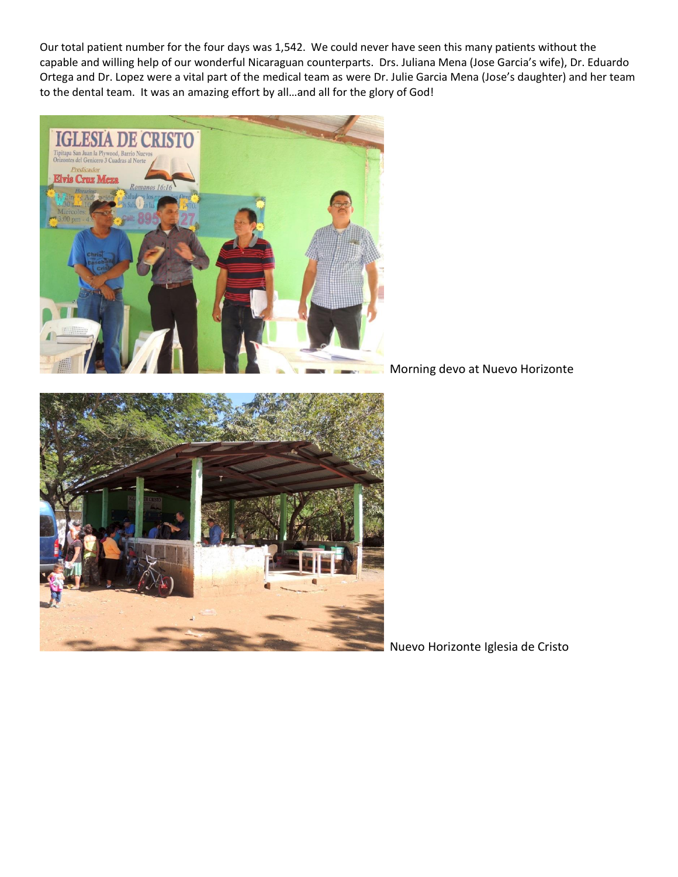Our total patient number for the four days was 1,542. We could never have seen this many patients without the capable and willing help of our wonderful Nicaraguan counterparts. Drs. Juliana Mena (Jose Garcia's wife), Dr. Eduardo Ortega and Dr. Lopez were a vital part of the medical team as were Dr. Julie Garcia Mena (Jose's daughter) and her team to the dental team. It was an amazing effort by all…and all for the glory of God!



Morning devo at Nuevo Horizonte



Nuevo Horizonte Iglesia de Cristo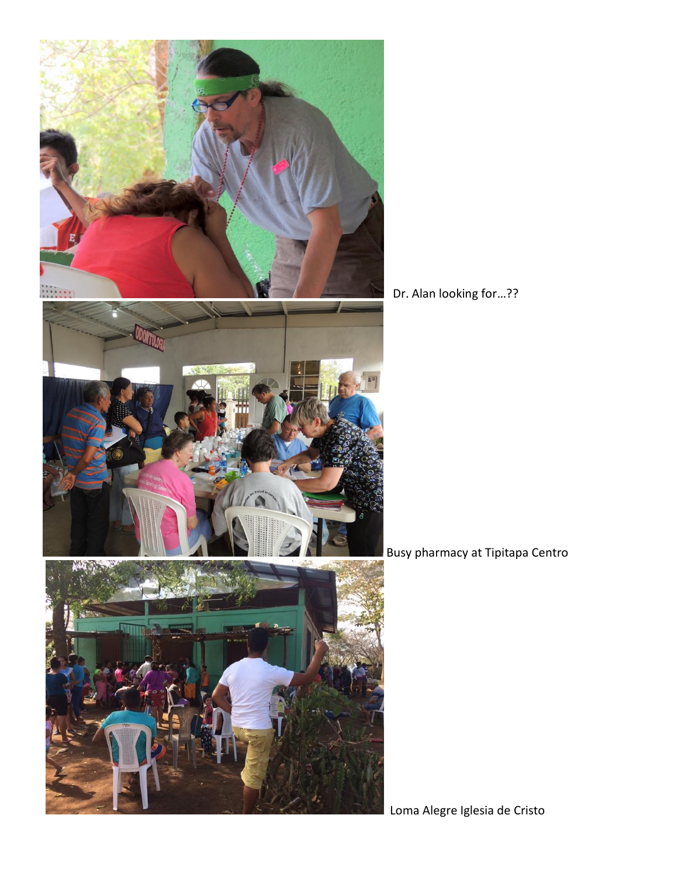

Dr. Alan looking for…??

Busy pharmacy at Tipitapa Centro

Loma Alegre Iglesia de Cristo